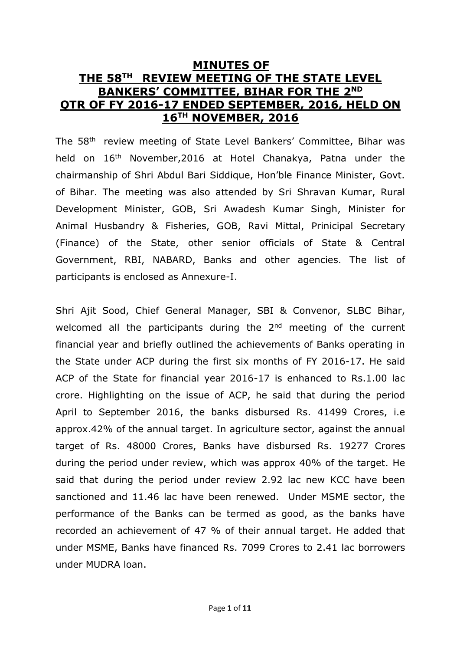# **MINUTES OF THE 58TH REVIEW MEETING OF THE STATE LEVEL BANKERS' COMMITTEE, BIHAR FOR THE 2 ND QTR OF FY 2016-17 ENDED SEPTEMBER, 2016, HELD ON 16TH NOVEMBER, 2016**

The 58<sup>th</sup> review meeting of State Level Bankers' Committee, Bihar was held on 16<sup>th</sup> November, 2016 at Hotel Chanakya, Patna under the chairmanship of Shri Abdul Bari Siddique, Hon'ble Finance Minister, Govt. of Bihar. The meeting was also attended by Sri Shravan Kumar, Rural Development Minister, GOB, Sri Awadesh Kumar Singh, Minister for Animal Husbandry & Fisheries, GOB, Ravi Mittal, Prinicipal Secretary (Finance) of the State, other senior officials of State & Central Government, RBI, NABARD, Banks and other agencies. The list of participants is enclosed as Annexure-I.

Shri Ajit Sood, Chief General Manager, SBI & Convenor, SLBC Bihar, welcomed all the participants during the  $2<sup>nd</sup>$  meeting of the current financial year and briefly outlined the achievements of Banks operating in the State under ACP during the first six months of FY 2016-17. He said ACP of the State for financial year 2016-17 is enhanced to Rs.1.00 lac crore. Highlighting on the issue of ACP, he said that during the period April to September 2016, the banks disbursed Rs. 41499 Crores, i.e approx.42% of the annual target. In agriculture sector, against the annual target of Rs. 48000 Crores, Banks have disbursed Rs. 19277 Crores during the period under review, which was approx 40% of the target. He said that during the period under review 2.92 lac new KCC have been sanctioned and 11.46 lac have been renewed. Under MSME sector, the performance of the Banks can be termed as good, as the banks have recorded an achievement of 47 % of their annual target. He added that under MSME, Banks have financed Rs. 7099 Crores to 2.41 lac borrowers under MUDRA loan.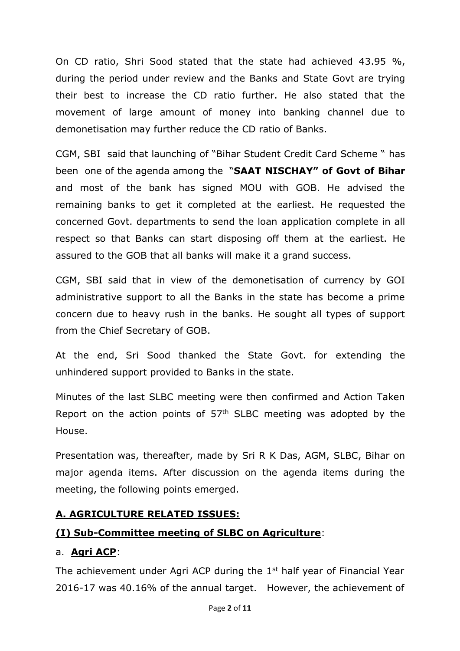On CD ratio, Shri Sood stated that the state had achieved 43.95 %, during the period under review and the Banks and State Govt are trying their best to increase the CD ratio further. He also stated that the movement of large amount of money into banking channel due to demonetisation may further reduce the CD ratio of Banks.

CGM, SBI said that launching of "Bihar Student Credit Card Scheme " has been one of the agenda among the "**SAAT NISCHAY" of Govt of Bihar** and most of the bank has signed MOU with GOB. He advised the remaining banks to get it completed at the earliest. He requested the concerned Govt. departments to send the loan application complete in all respect so that Banks can start disposing off them at the earliest. He assured to the GOB that all banks will make it a grand success.

CGM, SBI said that in view of the demonetisation of currency by GOI administrative support to all the Banks in the state has become a prime concern due to heavy rush in the banks. He sought all types of support from the Chief Secretary of GOB.

At the end, Sri Sood thanked the State Govt. for extending the unhindered support provided to Banks in the state.

Minutes of the last SLBC meeting were then confirmed and Action Taken Report on the action points of  $57<sup>th</sup>$  SLBC meeting was adopted by the House.

Presentation was, thereafter, made by Sri R K Das, AGM, SLBC, Bihar on major agenda items. After discussion on the agenda items during the meeting, the following points emerged.

#### **A. AGRICULTURE RELATED ISSUES:**

# **(I) Sub-Committee meeting of SLBC on Agriculture**:

#### a. **Agri ACP**:

The achievement under Agri ACP during the  $1<sup>st</sup>$  half year of Financial Year 2016-17 was 40.16% of the annual target. However, the achievement of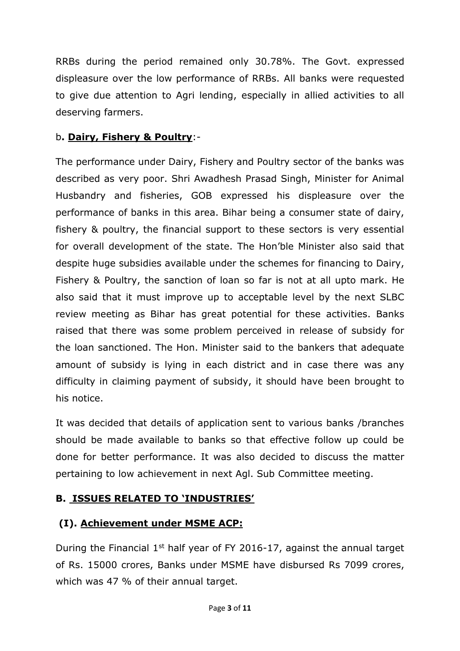RRBs during the period remained only 30.78%. The Govt. expressed displeasure over the low performance of RRBs. All banks were requested to give due attention to Agri lending, especially in allied activities to all deserving farmers.

### b**. Dairy, Fishery & Poultry**:-

The performance under Dairy, Fishery and Poultry sector of the banks was described as very poor. Shri Awadhesh Prasad Singh, Minister for Animal Husbandry and fisheries, GOB expressed his displeasure over the performance of banks in this area. Bihar being a consumer state of dairy, fishery & poultry, the financial support to these sectors is very essential for overall development of the state. The Hon'ble Minister also said that despite huge subsidies available under the schemes for financing to Dairy, Fishery & Poultry, the sanction of loan so far is not at all upto mark. He also said that it must improve up to acceptable level by the next SLBC review meeting as Bihar has great potential for these activities. Banks raised that there was some problem perceived in release of subsidy for the loan sanctioned. The Hon. Minister said to the bankers that adequate amount of subsidy is lying in each district and in case there was any difficulty in claiming payment of subsidy, it should have been brought to his notice.

It was decided that details of application sent to various banks /branches should be made available to banks so that effective follow up could be done for better performance. It was also decided to discuss the matter pertaining to low achievement in next Agl. Sub Committee meeting.

#### **B. ISSUES RELATED TO 'INDUSTRIES'**

# **(I). Achievement under MSME ACP:**

During the Financial  $1<sup>st</sup>$  half year of FY 2016-17, against the annual target of Rs. 15000 crores, Banks under MSME have disbursed Rs 7099 crores, which was 47 % of their annual target.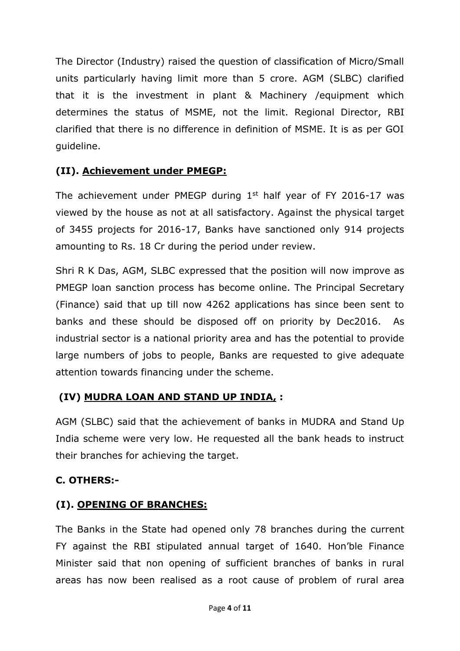The Director (Industry) raised the question of classification of Micro/Small units particularly having limit more than 5 crore. AGM (SLBC) clarified that it is the investment in plant & Machinery /equipment which determines the status of MSME, not the limit. Regional Director, RBI clarified that there is no difference in definition of MSME. It is as per GOI guideline.

# **(II). Achievement under PMEGP:**

The achievement under PMEGP during  $1<sup>st</sup>$  half year of FY 2016-17 was viewed by the house as not at all satisfactory. Against the physical target of 3455 projects for 2016-17, Banks have sanctioned only 914 projects amounting to Rs. 18 Cr during the period under review.

Shri R K Das, AGM, SLBC expressed that the position will now improve as PMEGP loan sanction process has become online. The Principal Secretary (Finance) said that up till now 4262 applications has since been sent to banks and these should be disposed off on priority by Dec2016. As industrial sector is a national priority area and has the potential to provide large numbers of jobs to people, Banks are requested to give adequate attention towards financing under the scheme.

# **(IV) MUDRA LOAN AND STAND UP INDIA, :**

AGM (SLBC) said that the achievement of banks in MUDRA and Stand Up India scheme were very low. He requested all the bank heads to instruct their branches for achieving the target.

# **C. OTHERS:-**

# **(I). OPENING OF BRANCHES:**

The Banks in the State had opened only 78 branches during the current FY against the RBI stipulated annual target of 1640. Hon'ble Finance Minister said that non opening of sufficient branches of banks in rural areas has now been realised as a root cause of problem of rural area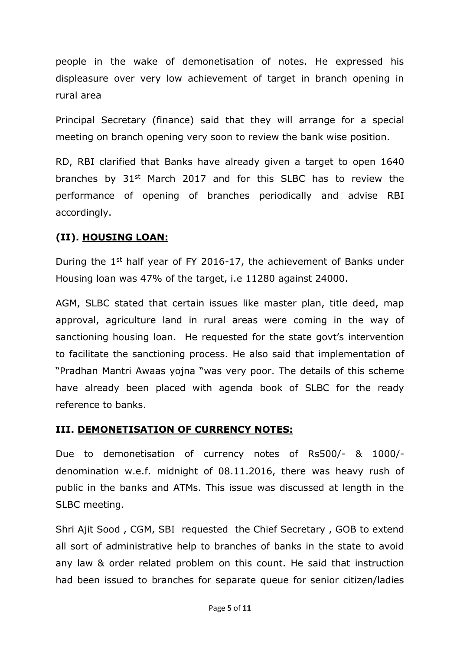people in the wake of demonetisation of notes. He expressed his displeasure over very low achievement of target in branch opening in rural area

Principal Secretary (finance) said that they will arrange for a special meeting on branch opening very soon to review the bank wise position.

RD, RBI clarified that Banks have already given a target to open 1640 branches by 31<sup>st</sup> March 2017 and for this SLBC has to review the performance of opening of branches periodically and advise RBI accordingly.

#### **(II). HOUSING LOAN:**

During the 1<sup>st</sup> half year of FY 2016-17, the achievement of Banks under Housing loan was 47% of the target, i.e 11280 against 24000.

AGM, SLBC stated that certain issues like master plan, title deed, map approval, agriculture land in rural areas were coming in the way of sanctioning housing loan. He requested for the state govt's intervention to facilitate the sanctioning process. He also said that implementation of "Pradhan Mantri Awaas yojna "was very poor. The details of this scheme have already been placed with agenda book of SLBC for the ready reference to banks.

#### **III. DEMONETISATION OF CURRENCY NOTES:**

Due to demonetisation of currency notes of Rs500/- & 1000/ denomination w.e.f. midnight of 08.11.2016, there was heavy rush of public in the banks and ATMs. This issue was discussed at length in the SLBC meeting.

Shri Ajit Sood , CGM, SBI requested the Chief Secretary , GOB to extend all sort of administrative help to branches of banks in the state to avoid any law & order related problem on this count. He said that instruction had been issued to branches for separate queue for senior citizen/ladies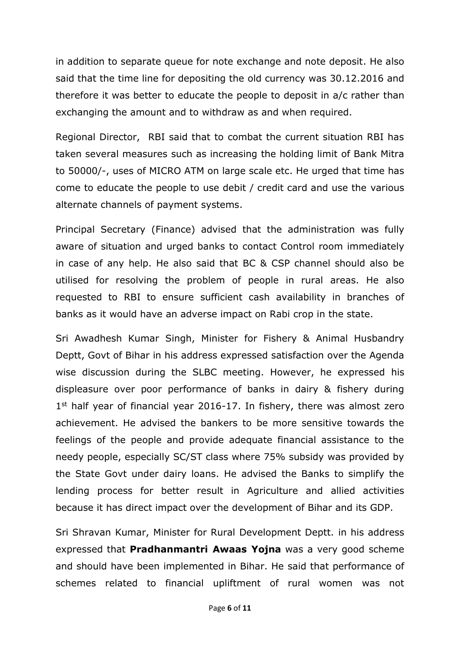in addition to separate queue for note exchange and note deposit. He also said that the time line for depositing the old currency was 30.12.2016 and therefore it was better to educate the people to deposit in a/c rather than exchanging the amount and to withdraw as and when required.

Regional Director, RBI said that to combat the current situation RBI has taken several measures such as increasing the holding limit of Bank Mitra to 50000/-, uses of MICRO ATM on large scale etc. He urged that time has come to educate the people to use debit / credit card and use the various alternate channels of payment systems.

Principal Secretary (Finance) advised that the administration was fully aware of situation and urged banks to contact Control room immediately in case of any help. He also said that BC & CSP channel should also be utilised for resolving the problem of people in rural areas. He also requested to RBI to ensure sufficient cash availability in branches of banks as it would have an adverse impact on Rabi crop in the state.

Sri Awadhesh Kumar Singh, Minister for Fishery & Animal Husbandry Deptt, Govt of Bihar in his address expressed satisfaction over the Agenda wise discussion during the SLBC meeting. However, he expressed his displeasure over poor performance of banks in dairy & fishery during 1<sup>st</sup> half year of financial year 2016-17. In fishery, there was almost zero achievement. He advised the bankers to be more sensitive towards the feelings of the people and provide adequate financial assistance to the needy people, especially SC/ST class where 75% subsidy was provided by the State Govt under dairy loans. He advised the Banks to simplify the lending process for better result in Agriculture and allied activities because it has direct impact over the development of Bihar and its GDP.

Sri Shravan Kumar, Minister for Rural Development Deptt. in his address expressed that **Pradhanmantri Awaas Yojna** was a very good scheme and should have been implemented in Bihar. He said that performance of schemes related to financial upliftment of rural women was not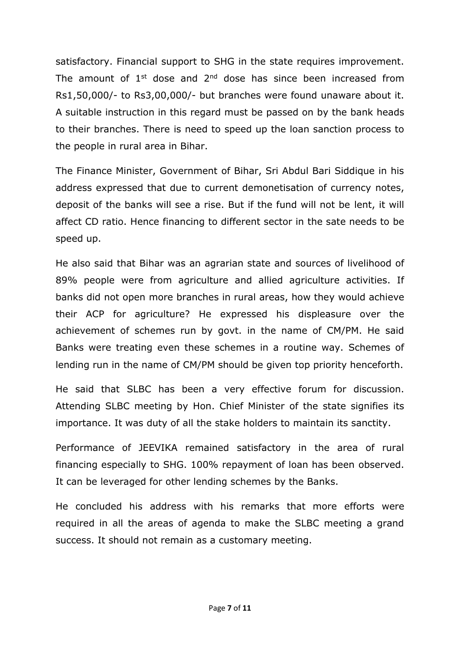satisfactory. Financial support to SHG in the state requires improvement. The amount of  $1<sup>st</sup>$  dose and  $2<sup>nd</sup>$  dose has since been increased from Rs1,50,000/- to Rs3,00,000/- but branches were found unaware about it. A suitable instruction in this regard must be passed on by the bank heads to their branches. There is need to speed up the loan sanction process to the people in rural area in Bihar.

The Finance Minister, Government of Bihar, Sri Abdul Bari Siddique in his address expressed that due to current demonetisation of currency notes, deposit of the banks will see a rise. But if the fund will not be lent, it will affect CD ratio. Hence financing to different sector in the sate needs to be speed up.

He also said that Bihar was an agrarian state and sources of livelihood of 89% people were from agriculture and allied agriculture activities. If banks did not open more branches in rural areas, how they would achieve their ACP for agriculture? He expressed his displeasure over the achievement of schemes run by govt. in the name of CM/PM. He said Banks were treating even these schemes in a routine way. Schemes of lending run in the name of CM/PM should be given top priority henceforth.

He said that SLBC has been a very effective forum for discussion. Attending SLBC meeting by Hon. Chief Minister of the state signifies its importance. It was duty of all the stake holders to maintain its sanctity.

Performance of JEEVIKA remained satisfactory in the area of rural financing especially to SHG. 100% repayment of loan has been observed. It can be leveraged for other lending schemes by the Banks.

He concluded his address with his remarks that more efforts were required in all the areas of agenda to make the SLBC meeting a grand success. It should not remain as a customary meeting.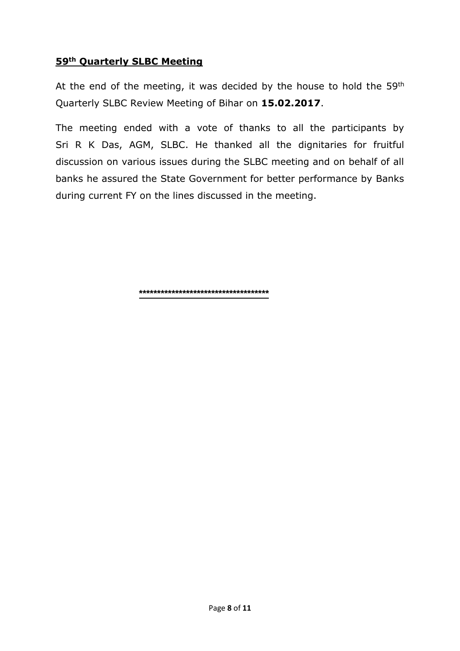#### **59th Quarterly SLBC Meeting**

At the end of the meeting, it was decided by the house to hold the  $59<sup>th</sup>$ Quarterly SLBC Review Meeting of Bihar on **15.02.2017**.

The meeting ended with a vote of thanks to all the participants by Sri R K Das, AGM, SLBC. He thanked all the dignitaries for fruitful discussion on various issues during the SLBC meeting and on behalf of all banks he assured the State Government for better performance by Banks during current FY on the lines discussed in the meeting.

**\*\*\*\*\*\*\*\*\*\*\*\*\*\*\*\*\*\*\*\*\*\*\*\*\*\*\*\*\*\*\*\*\*\*\*\***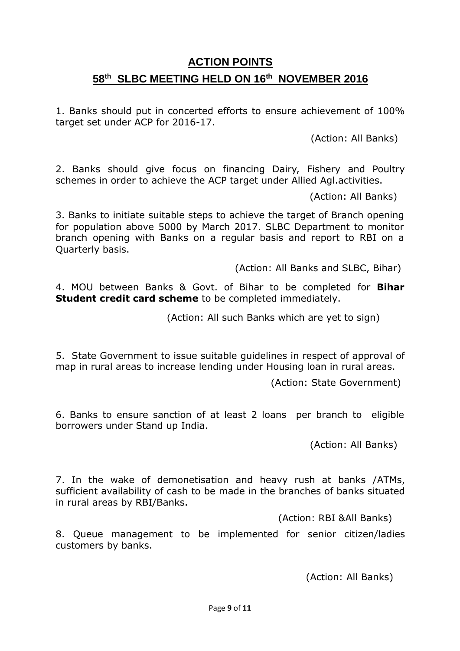# **ACTION POINTS 58 th SLBC MEETING HELD ON 16th NOVEMBER 2016**

1. Banks should put in concerted efforts to ensure achievement of 100% target set under ACP for 2016-17.

(Action: All Banks)

2. Banks should give focus on financing Dairy, Fishery and Poultry schemes in order to achieve the ACP target under Allied Agl.activities.

(Action: All Banks)

3. Banks to initiate suitable steps to achieve the target of Branch opening for population above 5000 by March 2017. SLBC Department to monitor branch opening with Banks on a regular basis and report to RBI on a Quarterly basis.

(Action: All Banks and SLBC, Bihar)

4. MOU between Banks & Govt. of Bihar to be completed for **Bihar Student credit card scheme** to be completed immediately.

(Action: All such Banks which are yet to sign)

5. State Government to issue suitable guidelines in respect of approval of map in rural areas to increase lending under Housing loan in rural areas.

(Action: State Government)

6. Banks to ensure sanction of at least 2 loans per branch to eligible borrowers under Stand up India.

(Action: All Banks)

7. In the wake of demonetisation and heavy rush at banks /ATMs, sufficient availability of cash to be made in the branches of banks situated in rural areas by RBI/Banks.

(Action: RBI &All Banks)

8. Queue management to be implemented for senior citizen/ladies customers by banks.

(Action: All Banks)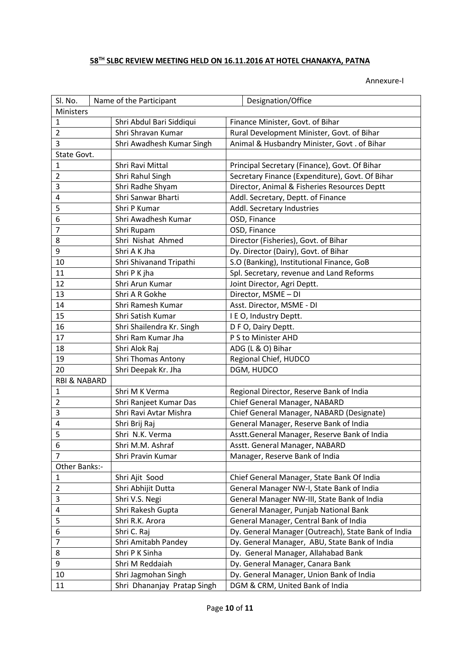#### **TH SLBC REVIEW MEETING HELD ON 16.11.2016 AT HOTEL CHANAKYA, PATNA**

Annexure-I

| SI. No.<br>Designation/Office<br>Name of the Participant<br><b>Ministers</b> |                                                |                                                                                |
|------------------------------------------------------------------------------|------------------------------------------------|--------------------------------------------------------------------------------|
| $\mathbf{1}$                                                                 |                                                |                                                                                |
| $\overline{2}$                                                               | Shri Abdul Bari Siddiqui<br>Shri Shravan Kumar | Finance Minister, Govt. of Bihar<br>Rural Development Minister, Govt. of Bihar |
| 3                                                                            | Shri Awadhesh Kumar Singh                      |                                                                                |
|                                                                              |                                                | Animal & Husbandry Minister, Govt . of Bihar                                   |
| State Govt.                                                                  |                                                |                                                                                |
| $\mathbf{1}$                                                                 | Shri Ravi Mittal                               | Principal Secretary (Finance), Govt. Of Bihar                                  |
| $\overline{2}$                                                               | Shri Rahul Singh                               | Secretary Finance (Expenditure), Govt. Of Bihar                                |
| 3                                                                            | Shri Radhe Shyam<br>Shri Sanwar Bharti         | Director, Animal & Fisheries Resources Deptt                                   |
| 4                                                                            |                                                | Addl. Secretary, Deptt. of Finance                                             |
| 5                                                                            | Shri P Kumar                                   | Addl. Secretary Industries                                                     |
| 6                                                                            | Shri Awadhesh Kumar                            | OSD, Finance                                                                   |
| $\overline{7}$                                                               | Shri Rupam                                     | OSD, Finance                                                                   |
| 8                                                                            | Shri Nishat Ahmed                              | Director (Fisheries), Govt. of Bihar                                           |
| 9                                                                            | Shri A K Jha                                   | Dy. Director (Dairy), Govt. of Bihar                                           |
| 10                                                                           | Shri Shivanand Tripathi                        | S.O (Banking), Institutional Finance, GoB                                      |
| 11                                                                           | Shri P K jha                                   | Spl. Secretary, revenue and Land Reforms                                       |
| 12                                                                           | Shri Arun Kumar                                | Joint Director, Agri Deptt.                                                    |
| 13                                                                           | Shri A R Gokhe                                 | Director, MSME - DI                                                            |
| 14                                                                           | Shri Ramesh Kumar                              | Asst. Director, MSME - DI                                                      |
| 15                                                                           | Shri Satish Kumar                              | I E O, Industry Deptt.                                                         |
| 16                                                                           | Shri Shailendra Kr. Singh                      | D F O, Dairy Deptt.                                                            |
| 17                                                                           | Shri Ram Kumar Jha                             | P S to Minister AHD                                                            |
| 18                                                                           | Shri Alok Raj                                  | ADG (L & O) Bihar                                                              |
| 19                                                                           | Shri Thomas Antony                             | Regional Chief, HUDCO                                                          |
| 20                                                                           | Shri Deepak Kr. Jha                            | DGM, HUDCO                                                                     |
| <b>RBI &amp; NABARD</b>                                                      |                                                |                                                                                |
| $\mathbf{1}$                                                                 | Shri M K Verma                                 | Regional Director, Reserve Bank of India                                       |
| $\overline{2}$                                                               | Shri Ranjeet Kumar Das                         | Chief General Manager, NABARD                                                  |
| 3                                                                            | Shri Ravi Avtar Mishra                         | Chief General Manager, NABARD (Designate)                                      |
| 4                                                                            | Shri Brij Raj                                  | General Manager, Reserve Bank of India                                         |
| 5                                                                            | Shri N.K. Verma                                | Asstt.General Manager, Reserve Bank of India                                   |
| 6                                                                            | Shri M.M. Ashraf                               | Asstt. General Manager, NABARD                                                 |
| $\overline{7}$                                                               | Shri Pravin Kumar                              | Manager, Reserve Bank of India                                                 |
| Other Banks:-                                                                |                                                |                                                                                |
| $\mathbf 1$                                                                  | Shri Ajit Sood                                 | Chief General Manager, State Bank Of India                                     |
| $\overline{2}$                                                               | Shri Abhijit Dutta                             | General Manager NW-I, State Bank of India                                      |
| 3                                                                            | Shri V.S. Negi                                 | General Manager NW-III, State Bank of India                                    |
| 4                                                                            | Shri Rakesh Gupta                              | General Manager, Punjab National Bank                                          |
| 5                                                                            | Shri R.K. Arora                                | General Manager, Central Bank of India                                         |
| 6                                                                            | Shri C. Raj                                    | Dy. General Manager (Outreach), State Bank of India                            |
| $\overline{7}$                                                               | Shri Amitabh Pandey                            | Dy. General Manager, ABU, State Bank of India                                  |
| 8                                                                            | Shri P K Sinha                                 | Dy. General Manager, Allahabad Bank                                            |
| 9                                                                            | Shri M Reddaiah                                | Dy. General Manager, Canara Bank                                               |
| 10                                                                           | Shri Jagmohan Singh                            | Dy. General Manager, Union Bank of India                                       |
| 11                                                                           | Shri Dhananjay Pratap Singh                    | DGM & CRM, United Bank of India                                                |